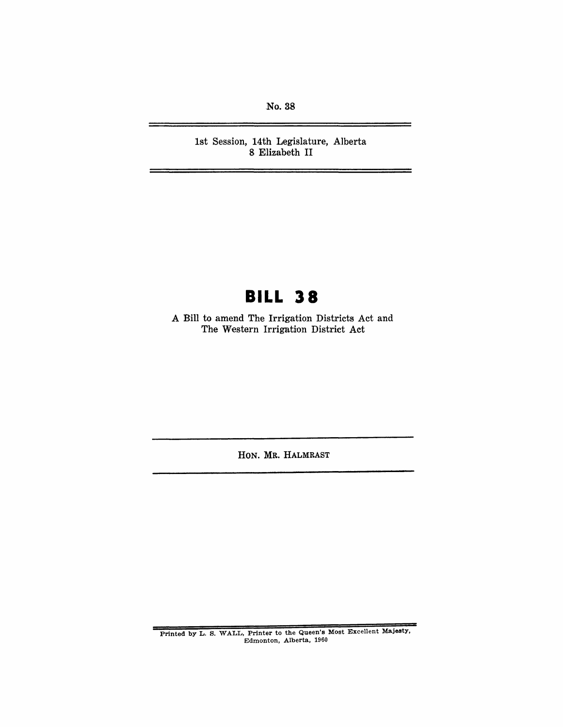No. 38

1st Session, 14th Legislature, Alberta 8 Elizabeth **II** 

# **BILL 38**

A Bill to amend The Irrigation Districts Act and The Western Irrigation District Act

HON. MR. HALMRAST

Printed by L. S. WALL, Printer to the Queen's Most Excellent Majesty, Edmonton, Alberta, 1960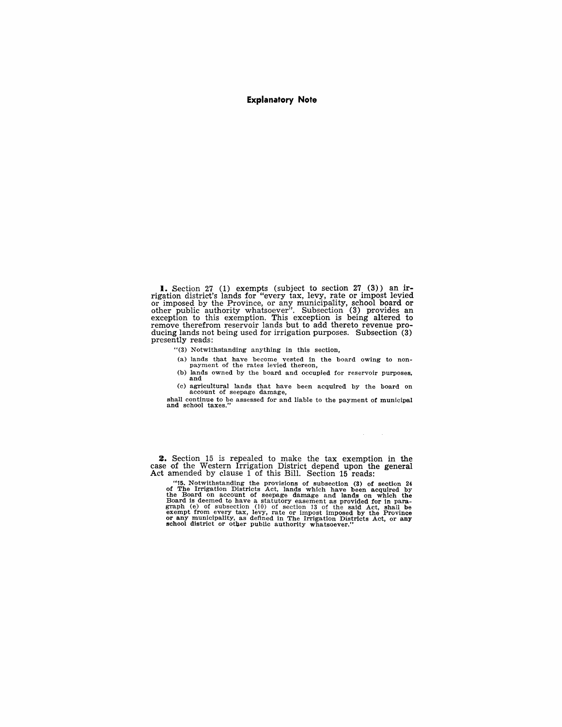#### **Explanatory Note**

**1.** Section 27 (1) exempts (subject to section 27 (3)) an irrigation district's lands for "every tax, levy, rate or impost levied<br>or imposed by the Province, or any municipality, school board or<br>other public authority whatsoever". Subsection (3) provides an<br>exception to this exempt presently reads:

"(3) Notwithstanding anything in this section,

(a) lands that have become vested in the board owing to non-<br>payment of the rates levied thereon,

(b) lands owned by the board and occupied for reservoir purposes. and

(c) agricultural lands that have been acquired by the board on account of seepage damage,

 $\sim$  $\sim$   $\sim$ 

shall continue to be assessed for and liable to the payment of municipal and school taxes."

2. Section 15 is repealed to make the tax exemption in the case of the Western Irrigation District depend upon the general Act amended by clause 1 of this Bill. Section 15 reads:

"15. Notwithstanding the provisions of subsection (3) of section 24 of The Irrigation Districts Act, lands which have been acquired by the Board on account of seepage damage and lands on which the Board is deemed to have a statutory easement as provided for in para- graph (e) of subsection (10) of section ]3 of the said Act, shall be exempt from every tax, levy, rate or impost imposed by the Province or any municipality, as defined in The Irrigation Districts Act, or any school district or other public authority whatsoever."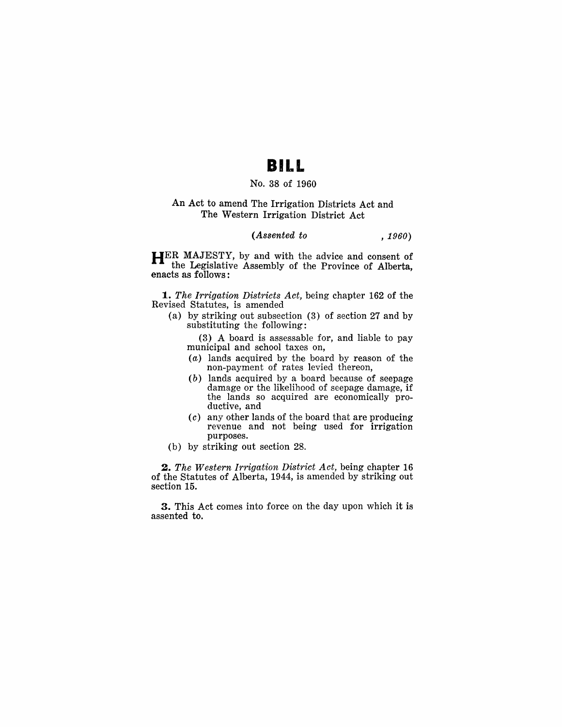## **BILL**

### No. 38 of 1960

### An Act to amend The Irrigation Districts Act and The Western Irrigation District Act

#### *(Assented to , 1960)*

HER MAJESTY, by and with the advice and consent of the Legislative Assembly of the Province of Alberta, enacts as follows:

*1. The Irrigation Districts Act,* being chapter 162 of the Revised Statutes, is amended

(a) by striking out subsection (3) of section 27 and by substituting the following:

(3) A board is assessable for, and liable to pay municipal and school taxes on,

- (a) lands acquired by the board by reason of the non-payment of rates levied thereon,
- (b) lands acquired by a board because of seepage damage or the likelihood of seepage damage, if the lands so acquired are economically productive, and
- (c) any other lands of the board that are producing revenue and not being used for irrigation purposes.
- (b) by striking out section 28.

*2. The Western Irrigation District Act,* being chapter 16 of the Statutes of Alberta, 1944, is amended by striking out section 15.

3. This Act comes into force on the day upon which it is assented to.